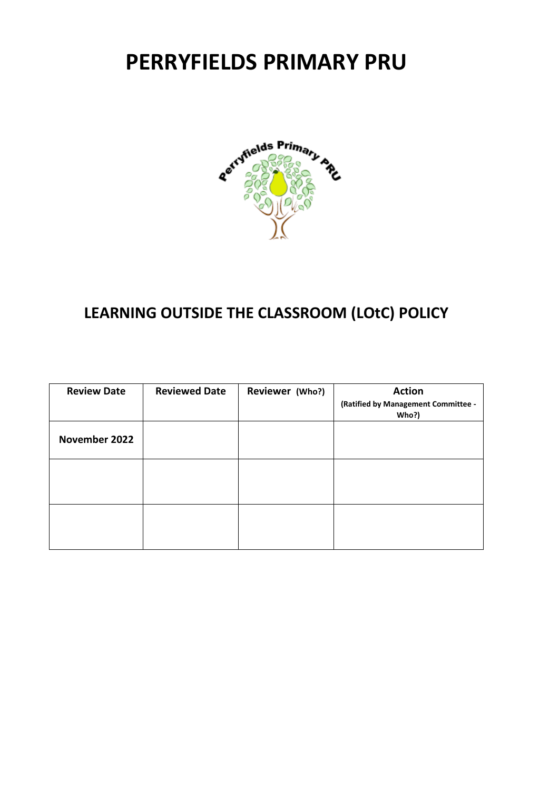# **PERRYFIELDS PRIMARY PRU**



# **LEARNING OUTSIDE THE CLASSROOM (LOtC) POLICY**

| <b>Review Date</b> | <b>Reviewed Date</b> | Reviewer (Who?) | <b>Action</b><br>(Ratified by Management Committee -<br>Who?) |
|--------------------|----------------------|-----------------|---------------------------------------------------------------|
| November 2022      |                      |                 |                                                               |
|                    |                      |                 |                                                               |
|                    |                      |                 |                                                               |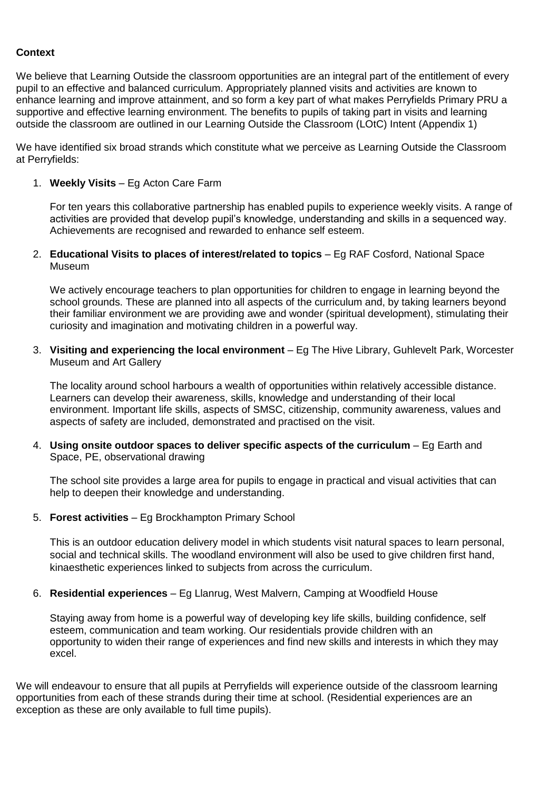### **Context**

We believe that Learning Outside the classroom opportunities are an integral part of the entitlement of every pupil to an effective and balanced curriculum. Appropriately planned visits and activities are known to enhance learning and improve attainment, and so form a key part of what makes Perryfields Primary PRU a supportive and effective learning environment. The benefits to pupils of taking part in visits and learning outside the classroom are outlined in our Learning Outside the Classroom (LOtC) Intent (Appendix 1)

We have identified six broad strands which constitute what we perceive as Learning Outside the Classroom at Perryfields:

1. **Weekly Visits** – Eg Acton Care Farm

For ten years this collaborative partnership has enabled pupils to experience weekly visits. A range of activities are provided that develop pupil's knowledge, understanding and skills in a sequenced way. Achievements are recognised and rewarded to enhance self esteem.

2. **Educational Visits to places of interest/related to topics** – Eg RAF Cosford, National Space Museum

We actively encourage teachers to plan opportunities for children to engage in learning beyond the school grounds. These are planned into all aspects of the curriculum and, by taking learners beyond their familiar environment we are providing awe and wonder (spiritual development), stimulating their curiosity and imagination and motivating children in a powerful way.

3. **Visiting and experiencing the local environment** – Eg The Hive Library, Guhlevelt Park, Worcester Museum and Art Gallery

The locality around school harbours a wealth of opportunities within relatively accessible distance. Learners can develop their awareness, skills, knowledge and understanding of their local environment. Important life skills, aspects of SMSC, citizenship, community awareness, values and aspects of safety are included, demonstrated and practised on the visit.

4. **Using onsite outdoor spaces to deliver specific aspects of the curriculum** – Eg Earth and Space, PE, observational drawing

The school site provides a large area for pupils to engage in practical and visual activities that can help to deepen their knowledge and understanding.

5. **Forest activities** – Eg Brockhampton Primary School

This is an outdoor education delivery model in which students visit natural spaces to learn personal, social and technical skills. The woodland environment will also be used to give children first hand, kinaesthetic experiences linked to subjects from across the curriculum.

6. **Residential experiences** – Eg Llanrug, West Malvern, Camping at Woodfield House

Staying away from home is a powerful way of developing key life skills, building confidence, self esteem, communication and team working. Our residentials provide children with an opportunity to widen their range of experiences and find new skills and interests in which they may excel.

We will endeavour to ensure that all pupils at Perryfields will experience outside of the classroom learning opportunities from each of these strands during their time at school. (Residential experiences are an exception as these are only available to full time pupils).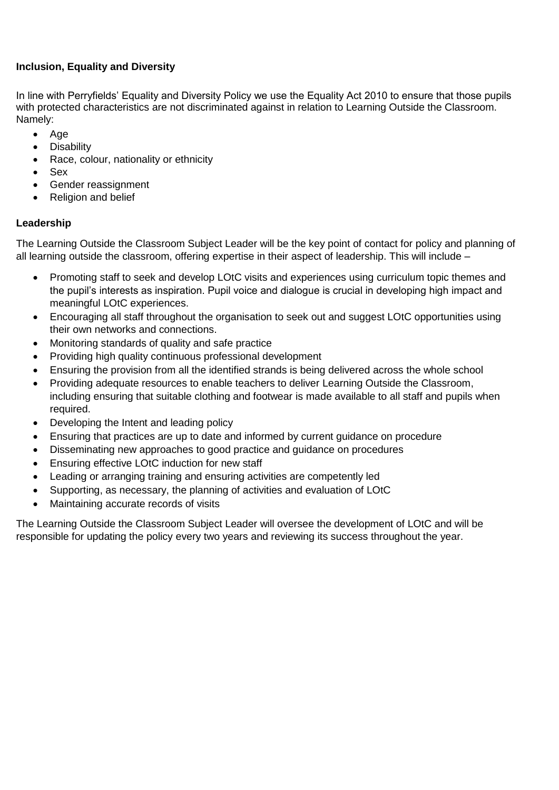# **Inclusion, Equality and Diversity**

In line with Perryfields' Equality and Diversity Policy we use the Equality Act 2010 to ensure that those pupils with protected characteristics are not discriminated against in relation to Learning Outside the Classroom. Namely:

- $\bullet$  Age
- Disability
- Race, colour, nationality or ethnicity
- Sex
- Gender reassignment
- Religion and belief

# **Leadership**

The Learning Outside the Classroom Subject Leader will be the key point of contact for policy and planning of all learning outside the classroom, offering expertise in their aspect of leadership. This will include –

- Promoting staff to seek and develop LOtC visits and experiences using curriculum topic themes and the pupil's interests as inspiration. Pupil voice and dialogue is crucial in developing high impact and meaningful LOtC experiences.
- Encouraging all staff throughout the organisation to seek out and suggest LOtC opportunities using their own networks and connections.
- Monitoring standards of quality and safe practice
- Providing high quality continuous professional development
- Ensuring the provision from all the identified strands is being delivered across the whole school
- Providing adequate resources to enable teachers to deliver Learning Outside the Classroom, including ensuring that suitable clothing and footwear is made available to all staff and pupils when required.
- Developing the Intent and leading policy
- Ensuring that practices are up to date and informed by current guidance on procedure
- Disseminating new approaches to good practice and guidance on procedures
- Ensuring effective LOtC induction for new staff
- Leading or arranging training and ensuring activities are competently led
- Supporting, as necessary, the planning of activities and evaluation of LOtC
- Maintaining accurate records of visits

The Learning Outside the Classroom Subject Leader will oversee the development of LOtC and will be responsible for updating the policy every two years and reviewing its success throughout the year.